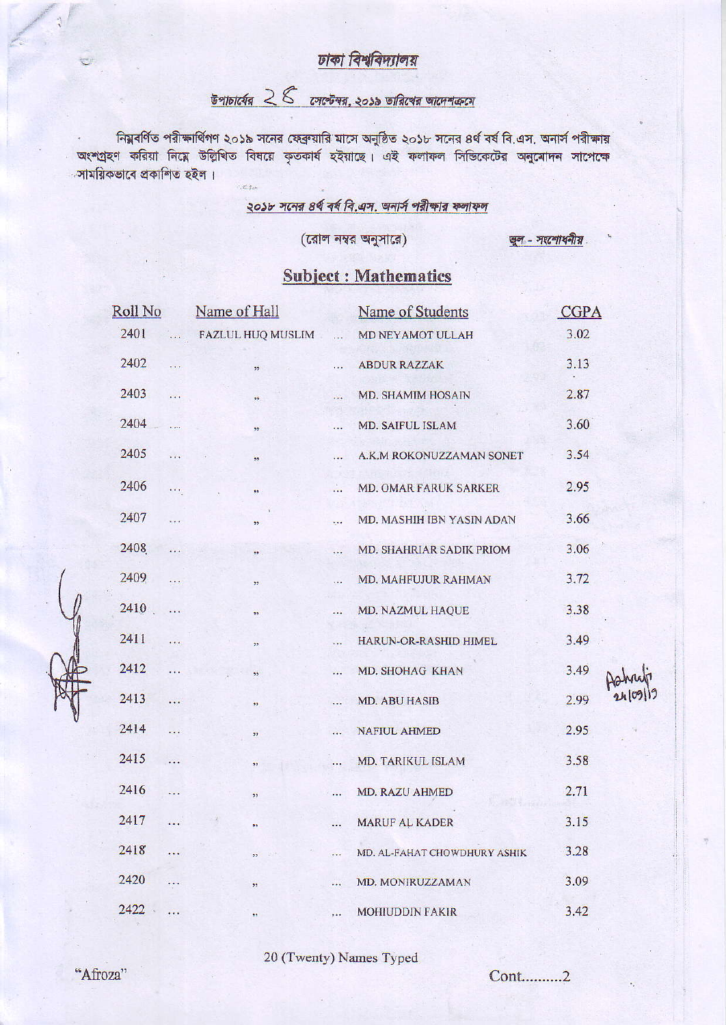#### ঢাকা বিশ্ববিদ্যালয়

# $\frac{1}{6}$ পাচার্যের  $28$  সেপ্টেম্বর, ২০১৯ তারিখের আদেশক্রমে

নিম্নবর্ণিত পরীক্ষার্থিগণ ২০১৯ সনের ফেব্রুয়ারি মাসে অনুষ্ঠিত ২০১৮ সনের ৪র্থ বর্ষ বি.এস. অনার্স পরীক্ষায় অংশগ্রহণ করিয়া নিম্নে উল্লিখিত বিষয়ে কৃতকার্য হইয়াছে। এই ফলাফল সিন্ডিকেটের অনুমোদন সাপেক্ষে ্সাময়িকভাবে প্ৰকাশিত হইল।  $\sim$  of the

#### ২০১৮ সনের ৪র্থ বর্ষ বি.এস. অনার্স পরীক্ষার ফলাফল

(রোল নম্বর অনুসারে)

खुल - जश्टलाथनीय

### **Subject: Mathematics**

| Roll No |                       | Name of Hall      |            | Name of Students             | CGPA |  |
|---------|-----------------------|-------------------|------------|------------------------------|------|--|
| 2401    | $\sim$                | FAZLUL HUQ MUSLIM | $\dddotsc$ | MD NEYAMOT ULLAH             | 3.02 |  |
| 2402    | $\dddotsc$            | 12 <sup>1</sup>   | .          | <b>ABDUR RAZZAK</b>          | 3.13 |  |
| 2403    | $\dddotsc$            | 77                | $\dddotsc$ | <b>MD. SHAMIM HOSAIN</b>     | 2.87 |  |
| 2404    | .                     | 99                |            | MD. SAIFUL ISLAM             | 3.60 |  |
| 2405    | .                     | 99.               | .          | A.K.M ROKONUZZAMAN SONET     | 3.54 |  |
| 2406    | $\cdots$              | 99.               | A.         | MD. OMAR FARUK SARKER        | 2.95 |  |
| 2407    | .                     | ,,                | <b>CO</b>  | MD. MASHIH IBN YASIN ADAN    | 3.66 |  |
| 2408    | .                     | 35                | .          | MD. SHAHRIAR SADIK PRIOM     | 3.06 |  |
| 2409    |                       | $\pmb{\gamma}$    | .          | MD. MAHFUJUR RAHMAN          | 3.72 |  |
| 2410    | $\ldots$              | 39                | .          | MD. NAZMUL HAQUE             | 3.38 |  |
| 2411    | $\cdots$              | 22                | $\dddotsc$ | HARUN-OR-RASHID HIMEL        | 3.49 |  |
| 2412    | $\dddot{\phantom{1}}$ | 99.               |            | MD. SHOHAG KHAN              | 3.49 |  |
| 2413    | $\cdots$              | 99                | $\cdots$   | <b>MD. ABU HASIB</b>         | 2.99 |  |
| 2414    | $\ddotsc$             | 99                | .          | <b>NAFIUL AHMED</b>          | 2.95 |  |
| 2415    |                       | 99                |            | MD. TARIKUL ISLAM            | 3.58 |  |
| 2416    | $\dddotsc$            | 39                | $\dddotsc$ | MD. RAZU AHMED               | 2.71 |  |
| 2417    | $\dddotsc$            | 99                |            | MARUF AL KADER               | 3.15 |  |
| 2418    | is.                   | 55                | $\cdots$   | MD. AL-FAHAT CHOWDHURY ASHIK | 3.28 |  |
| 2420    | $\dddot{\bullet}$     | ,,                | $\cdots$   | MD. MONIRUZZAMAN             | 3.09 |  |
| 2422    | $\cdot$ .             | 39.               | $\dddotsc$ | MOHIUDDIN FAKIR              | 3.42 |  |

20 (Twenty) Names Typed

Cont..........2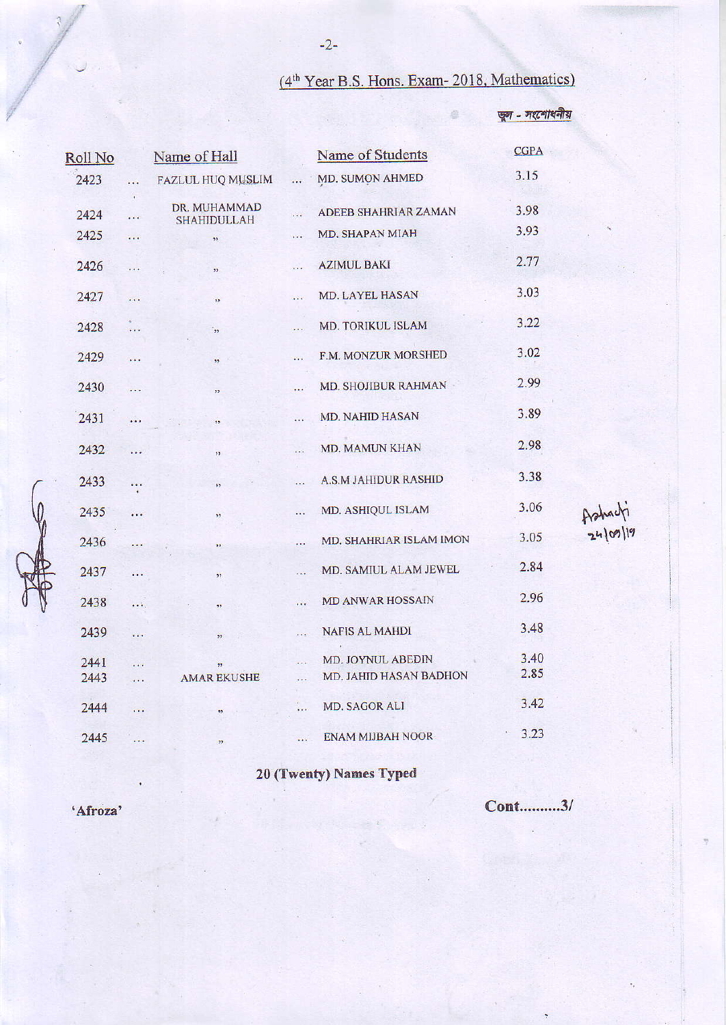### (4th Year B.S. Hons. Exam- 2018, Mathematics)

4

ভুল - সংশোধনীয়

| Roll No |                     | Name of Hall             |                            | Name of Students            | <b>CGPA</b> |                    |
|---------|---------------------|--------------------------|----------------------------|-----------------------------|-------------|--------------------|
| 2423    | .                   | FAZLUL HUQ MUSLIM        | $\dddotsc$                 | MD. SUMON AHMED             | 3.15        |                    |
| 2424    | $\blacksquare$<br>. | DR. MUHAMMAD             | $\cdots$                   | ADEEB SHAHRIAR ZAMAN        | 3.98        |                    |
| 2425    |                     | <b>SHAHIDULLAH</b><br>93 | $\cdots$                   | <b>MD. SHAPAN MIAH</b>      | 3.93        |                    |
| 2426    | .                   | , 1)                     | $\dddot{\phantom{0}}$      | <b>AZIMUL BAKI</b>          | 2.77        |                    |
| 2427    | .                   | $\overline{\mathbf{12}}$ | $\dddotsc$                 | MD. LAYEL HASAN             | 3.03        |                    |
| 2428    | $\cdots$            | وق                       | $\sim 10^{11}$             | MD. TORIKUL ISLAM           | 3.22        |                    |
| 2429    | $\cdots$            | 99.                      | $\mathcal{L}(\mathcal{L})$ | F.M. MONZUR MORSHED         | 3.02        |                    |
| 2430    | $\dddotsc$          | ,,                       | $\cdots$                   | <b>MD. SHOJIBUR RAHMAN</b>  | 2.99        |                    |
| 2431    | .                   |                          |                            | MD. NAHID HASAN             | 3.89        |                    |
| 2432    | $\dddotsc$          | , 1                      | $\cdots$                   | <b>MD. MAMUN KHAN</b>       | 2.98        |                    |
| 2433    | $\cdots$            | š5.                      | $\cdots$                   | <b>A.S.M JAHIDUR RASHID</b> | 3.38        |                    |
| 2435    | .                   | 33                       | $\cdots$                   | MD. ASHIQUL ISLAM           | 3.06        | Ashadi<br>24/09/19 |
| 2436    | i in                | 39.                      | .                          | MD. SHAHRIAR ISLAM IMON     | 3.05        |                    |
| 2437    | $\cdots$            | 55                       | $\dddotsc$                 | MD. SAMIUL ALAM JEWEL       | 2.84        |                    |
| 2438    | $\cdots$            | $\overline{\mathbf{3}}$  |                            | <b>MD ANWAR HOSSAIN</b>     | 2.96        |                    |
| 2439    | $\dddot{\bullet}$   | 35                       |                            | <b>NAFIS AL MAHDI</b>       | 3.48        |                    |
| 2441    | .                   | 99.                      | $\dddotsc$                 | MD. JOYNUL ABEDIN           | 3.40        |                    |
| 2443    | $\cdots$            | <b>AMAR EKUSHE</b>       |                            | MD. JAHID HASAN BADHON      | 2.85        |                    |
| 2444    | $\dddotsc$          | 35.                      | $\ddotsc$                  | MD. SAGOR ALI               | 3.42        |                    |
| 2445    | .                   | 99.                      |                            | <b>ENAM MIJBAH NOOR</b>     | 3.23        |                    |

20 (Twenty) Names Typed

'Afroza'

Cont..........3/

 $-2-$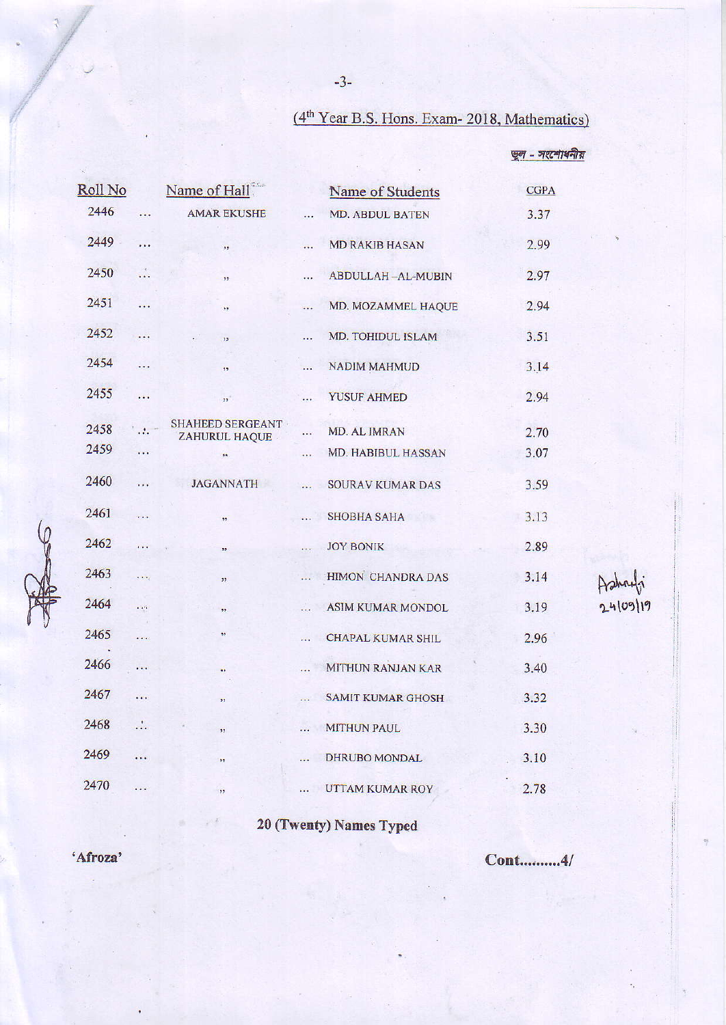## (4<sup>th</sup> Year B.S. Hons. Exam- 2018, Mathematics)

खून - जश्टमाधनीय

| Roll No |                            | Name of Hall                             |             | Name of Students         | <b>CGPA</b> |          |
|---------|----------------------------|------------------------------------------|-------------|--------------------------|-------------|----------|
| 2446    | $\cdots$                   | <b>AMAR EKUSHE</b>                       | $\ddotsc$   | <b>MD. ABDUL BATEN</b>   | 3.37        |          |
| 2449    | .                          | $\overline{\phantom{1}}$                 | $\dddotsc$  | <b>MD RAKIB HASAN</b>    | 2.99        |          |
| 2450    | $\mathcal{L}_{\bullet}$    | 39.                                      | $\cdots$    | <b>ABDULLAH-AL-MUBIN</b> | 2.97        |          |
| 2451    | $\sim$                     | 23                                       | $\dddotsc$  | MD. MOZAMMEL HAQUE       | 2.94        |          |
| 2452    | $\ddots$                   | 13 <sup>°</sup>                          | siya.       | MD. TOHIDUL ISLAM        | 3.51        |          |
| 2454    | $\ddotsc$                  | 35                                       | m.          | NADIM MAHMUD             | 3.14        |          |
| 2455    | $\sim$                     | $\overline{\boldsymbol{v}}$              | $\cdots$    | <b>YUSUF AHMED</b>       | 2.94        |          |
| 2458    |                            | <b>SHAHEED SERGEANT</b><br>ZAHURUL HAQUE | $\cdots$    | MD. AL IMRAN             | 2.70        |          |
| 2459    | $\cdots$                   | 98.                                      | $\cdots$    | MD. HABIBUL HASSAN       | 3.07        |          |
| 2460    | $\cdots$                   | <b>JAGANNATH</b>                         | $\dddotsc$  | <b>SOURAV KUMAR DAS</b>  | 3.59        |          |
| 2461    | $\cdots$                   | , 2, 3                                   | $\dddotsc$  | SHOBHA SAHA              | 3.13        |          |
| 2462    | .                          | 55                                       | $\cdots$    | <b>JOY BONIK</b>         | 2.89        |          |
| 2463    | $\frac{1}{2}$              | $\overline{\mathbf{1}}$                  | era.        | HIMON CHANDRA DAS        | 3.14        |          |
| 2464    | $\mathcal{L}(\mathcal{S})$ | ,,                                       | $\ddotsc$   | <b>ASIM KUMAR MONDOL</b> | 3.19        | 24/09/19 |
| 2465    | .                          | 27                                       | 222         | <b>CHAPAL KUMAR SHIL</b> | 2.96        |          |
| 2466    | $\mathcal{N}_{\text{eff}}$ | 99                                       |             | <b>MITHUN RANJAN KAR</b> | 3.40        |          |
| 2467    | .                          | $\overline{\mathcal{D}}$                 | m.          | <b>SAMIT KUMAR GHOSH</b> | 3.32        |          |
| 2468    | $\mathbf{a}$               | 99                                       | $\dddotsc$  | <b>MITHUN PAUL</b>       | 3.30        |          |
| 2469    | .                          | 99                                       | <b>Sale</b> | DHRUBO MONDAL            | 3.10        |          |
| 2470    | .                          | ,,                                       |             | UTTAM KUMAR ROY          | 2.78        |          |
|         |                            |                                          |             |                          |             |          |

20 (Twenty) Names Typed

'Afroza'

 $R_{s}$ 

Cont..........4/

 $-3-$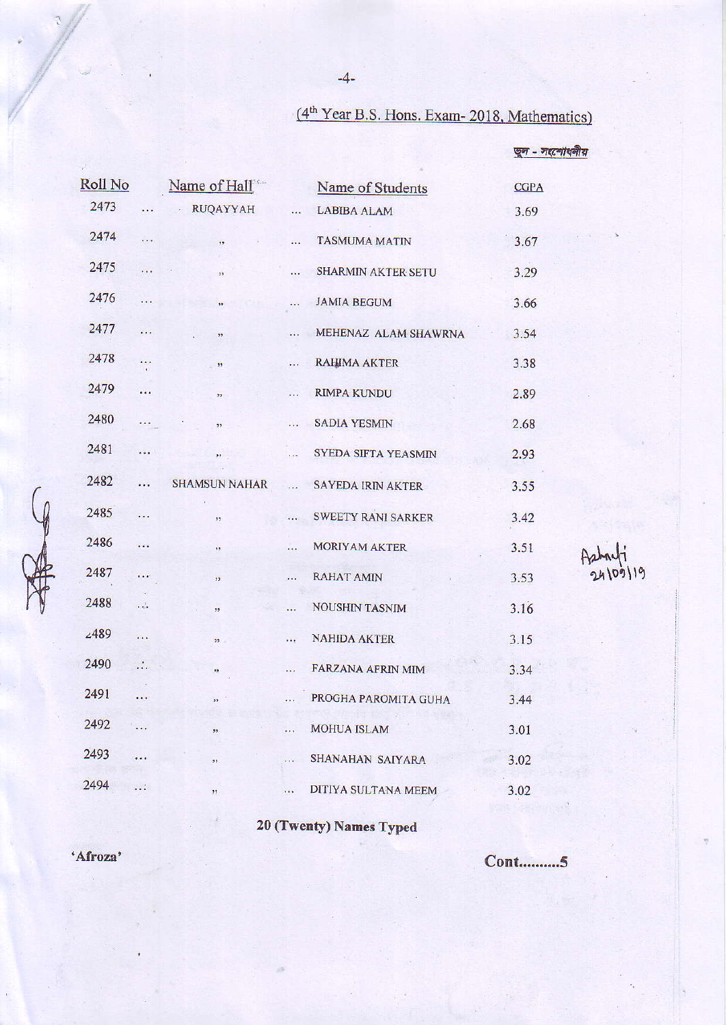## (4<sup>th</sup> Year B.S. Hons. Exam- 2018, Mathematics)

জুল - সংশোধনীয়

| Roll No     |                          | Name of Hall             |                       | Name of Students          | <b>CGPA</b> |          |
|-------------|--------------------------|--------------------------|-----------------------|---------------------------|-------------|----------|
| 2473        | $\ldots$                 | - RUQAYYAH               | $\dddotsc$            | <b>LABIBA ALAM</b>        | 3.69        |          |
| 2474        | $\ddot{\phantom{a}}$     | $\overline{\mathbf{12}}$ | $\ldots$              | <b>TASMUMA MATIN</b>      | 3.67        |          |
| 2475        | .                        | $\overline{\mathbf{1}}$  | in.                   | SHARMIN AKTER SETU        | 3.29        |          |
| 2476        | $\cdots$                 | $\overline{\mathbf{H}}$  | $\dddotsc$            | <b>JAMIA BEGUM</b>        | 3.66        |          |
| 2477        | .                        | 55.                      |                       | MEHENAZ ALAM SHAWRNA      | 3.54        |          |
| 2478        | iss.                     | $\frac{1}{2}$            | $\cdots$              | <b>RAHIMA AKTER</b>       | 3.38        |          |
| 2479        | 22                       | 99)                      | $\cdots$              | <b>RIMPA KUNDU</b>        | 2.89        |          |
| 2480        | <b>State</b>             | 12                       | $\dddotsc$            | <b>SADIA YESMIN</b>       | 2.68        |          |
| 2481        | .                        | 22.000                   | 1.14                  | SYEDA SIFTA YEASMIN       | 2.93        |          |
| 2482        | <b>PERT</b>              | <b>SHAMSUN NAHAR</b>     | $\dddot{\phantom{0}}$ | SAYEDA IRIN AKTER         | 3.55        |          |
| 2485        | $\dddotsc$               | , 7                      | $\dddotsc$            | <b>SWEETY RANI SARKER</b> | 3.42        |          |
| 2486        | ver.                     | 99                       |                       | MORIYAM AKTER             | 3.51        |          |
| 2487        | .                        | 99                       | $\cdots$              | <b>RAHAT AMIN</b>         | 3.53        | 24/09/19 |
| 2488        | $\frac{1}{2}$            | 72                       | $\cdots$              | <b>NOUSHIN TASNIM</b>     | 3.16        |          |
| <b>∠489</b> | .                        | $22 -$                   | $\cdots$              | <b>NAHIDA AKTER</b>       | 3.15        |          |
| 2490        | $\mathcal{L}_\mathrm{c}$ | 33                       | $\dddotsc$            | FARZANA AFRIN MIM         | 3.34        |          |
| 2491        |                          | ös.                      | $\cdots$              | PROGHA PAROMITA GUHA      | 3.44        |          |
| 2492        | .                        | 99.                      |                       | <b>MOHUA ISLAM</b>        | 3.01        | '4       |
| 2493        |                          | 35                       | $\cdots$              | SHANAHAN SAIYARA          | 3.02        |          |
| 2494        |                          |                          |                       |                           |             |          |
|             |                          | 27                       |                       | DITIYA SULTANA MEEM       | 3.02        |          |
|             |                          |                          |                       |                           |             |          |

20 (Twenty) Names Typed

'Afroza'

 $\begin{matrix} 9 \\ 10 \\ 11 \end{matrix}$ 

**Cont..........5** 

 $-4-$